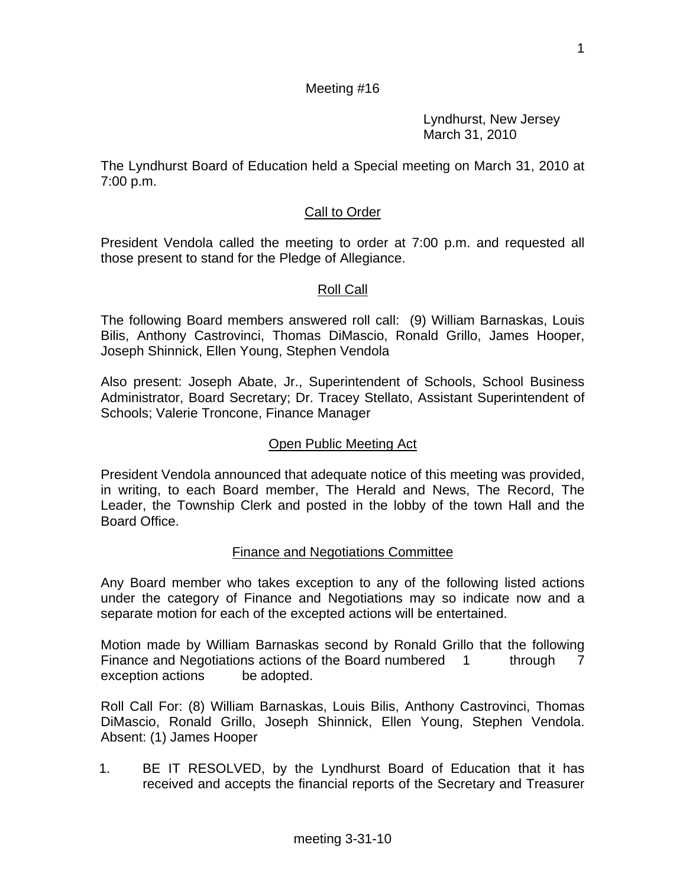Lyndhurst, New Jersey March 31, 2010

The Lyndhurst Board of Education held a Special meeting on March 31, 2010 at 7:00 p.m.

### Call to Order

President Vendola called the meeting to order at 7:00 p.m. and requested all those present to stand for the Pledge of Allegiance.

#### Roll Call

The following Board members answered roll call: (9) William Barnaskas, Louis Bilis, Anthony Castrovinci, Thomas DiMascio, Ronald Grillo, James Hooper, Joseph Shinnick, Ellen Young, Stephen Vendola

Also present: Joseph Abate, Jr., Superintendent of Schools, School Business Administrator, Board Secretary; Dr. Tracey Stellato, Assistant Superintendent of Schools; Valerie Troncone, Finance Manager

#### Open Public Meeting Act

President Vendola announced that adequate notice of this meeting was provided, in writing, to each Board member, The Herald and News, The Record, The Leader, the Township Clerk and posted in the lobby of the town Hall and the Board Office.

#### Finance and Negotiations Committee

Any Board member who takes exception to any of the following listed actions under the category of Finance and Negotiations may so indicate now and a separate motion for each of the excepted actions will be entertained.

Motion made by William Barnaskas second by Ronald Grillo that the following Finance and Negotiations actions of the Board numbered 1 through 7 exception actions be adopted.

Roll Call For: (8) William Barnaskas, Louis Bilis, Anthony Castrovinci, Thomas DiMascio, Ronald Grillo, Joseph Shinnick, Ellen Young, Stephen Vendola. Absent: (1) James Hooper

1. BE IT RESOLVED, by the Lyndhurst Board of Education that it has received and accepts the financial reports of the Secretary and Treasurer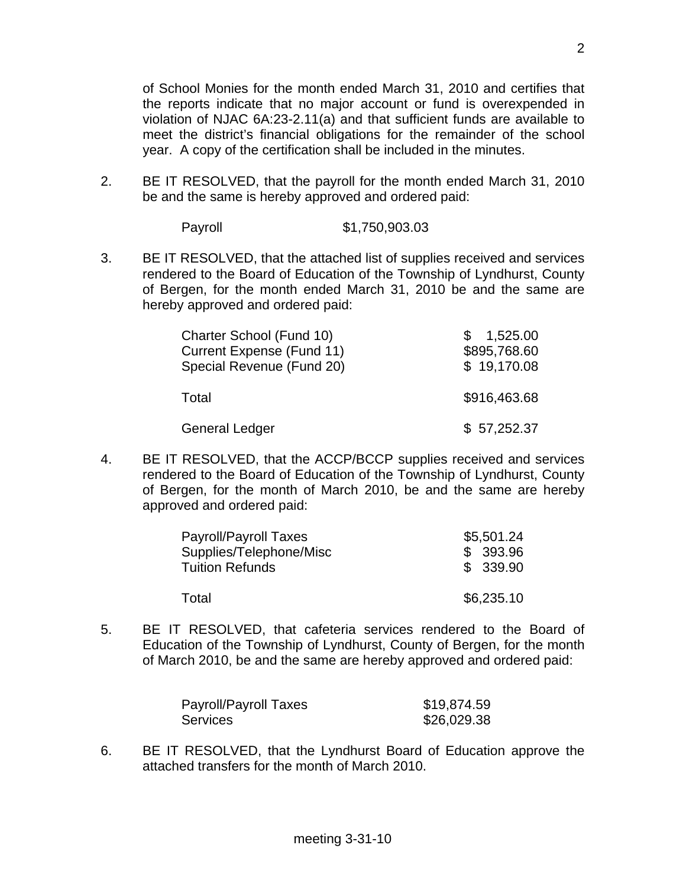of School Monies for the month ended March 31, 2010 and certifies that the reports indicate that no major account or fund is overexpended in violation of NJAC 6A:23-2.11(a) and that sufficient funds are available to meet the district's financial obligations for the remainder of the school year. A copy of the certification shall be included in the minutes.

2. BE IT RESOLVED, that the payroll for the month ended March 31, 2010 be and the same is hereby approved and ordered paid:

Payroll \$1,750,903.03

3. BE IT RESOLVED, that the attached list of supplies received and services rendered to the Board of Education of the Township of Lyndhurst, County of Bergen, for the month ended March 31, 2010 be and the same are hereby approved and ordered paid:

| Charter School (Fund 10)<br><b>Current Expense (Fund 11)</b><br>Special Revenue (Fund 20) | 1,525.00<br>\$895,768.60<br>\$19,170.08 |
|-------------------------------------------------------------------------------------------|-----------------------------------------|
| Total                                                                                     | \$916,463.68                            |
| <b>General Ledger</b>                                                                     | \$57,252.37                             |

4. BE IT RESOLVED, that the ACCP/BCCP supplies received and services rendered to the Board of Education of the Township of Lyndhurst, County of Bergen, for the month of March 2010, be and the same are hereby approved and ordered paid:

| Payroll/Payroll Taxes   | \$5,501.24 |
|-------------------------|------------|
| Supplies/Telephone/Misc | \$393.96   |
| <b>Tuition Refunds</b>  | \$339.90   |
|                         |            |
| Total                   | \$6,235.10 |

5. BE IT RESOLVED, that cafeteria services rendered to the Board of Education of the Township of Lyndhurst, County of Bergen, for the month of March 2010, be and the same are hereby approved and ordered paid:

| Payroll/Payroll Taxes | \$19,874.59 |
|-----------------------|-------------|
| <b>Services</b>       | \$26,029.38 |

6. BE IT RESOLVED, that the Lyndhurst Board of Education approve the attached transfers for the month of March 2010.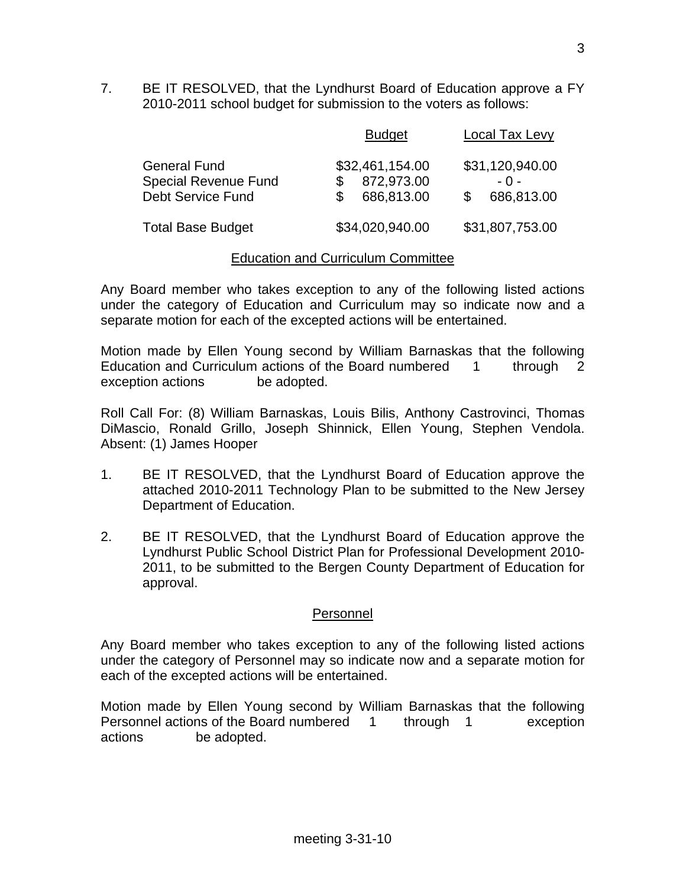7. BE IT RESOLVED, that the Lyndhurst Board of Education approve a FY 2010-2011 school budget for submission to the voters as follows:

|                                                                                | <b>Budget</b>                               | Local Tax Levy                         |
|--------------------------------------------------------------------------------|---------------------------------------------|----------------------------------------|
| <b>General Fund</b><br><b>Special Revenue Fund</b><br><b>Debt Service Fund</b> | \$32,461,154.00<br>872,973.00<br>686,813.00 | \$31,120,940.00<br>$-0-$<br>686,813.00 |
| <b>Total Base Budget</b>                                                       | \$34,020,940.00                             | \$31,807,753.00                        |

#### Education and Curriculum Committee

Any Board member who takes exception to any of the following listed actions under the category of Education and Curriculum may so indicate now and a separate motion for each of the excepted actions will be entertained.

Motion made by Ellen Young second by William Barnaskas that the following Education and Curriculum actions of the Board numbered 1 through 2 exception actions be adopted.

Roll Call For: (8) William Barnaskas, Louis Bilis, Anthony Castrovinci, Thomas DiMascio, Ronald Grillo, Joseph Shinnick, Ellen Young, Stephen Vendola. Absent: (1) James Hooper

- 1. BE IT RESOLVED, that the Lyndhurst Board of Education approve the attached 2010-2011 Technology Plan to be submitted to the New Jersey Department of Education.
- 2. BE IT RESOLVED, that the Lyndhurst Board of Education approve the Lyndhurst Public School District Plan for Professional Development 2010- 2011, to be submitted to the Bergen County Department of Education for approval.

#### Personnel

Any Board member who takes exception to any of the following listed actions under the category of Personnel may so indicate now and a separate motion for each of the excepted actions will be entertained.

Motion made by Ellen Young second by William Barnaskas that the following Personnel actions of the Board numbered 1 through 1 exception actions be adopted.